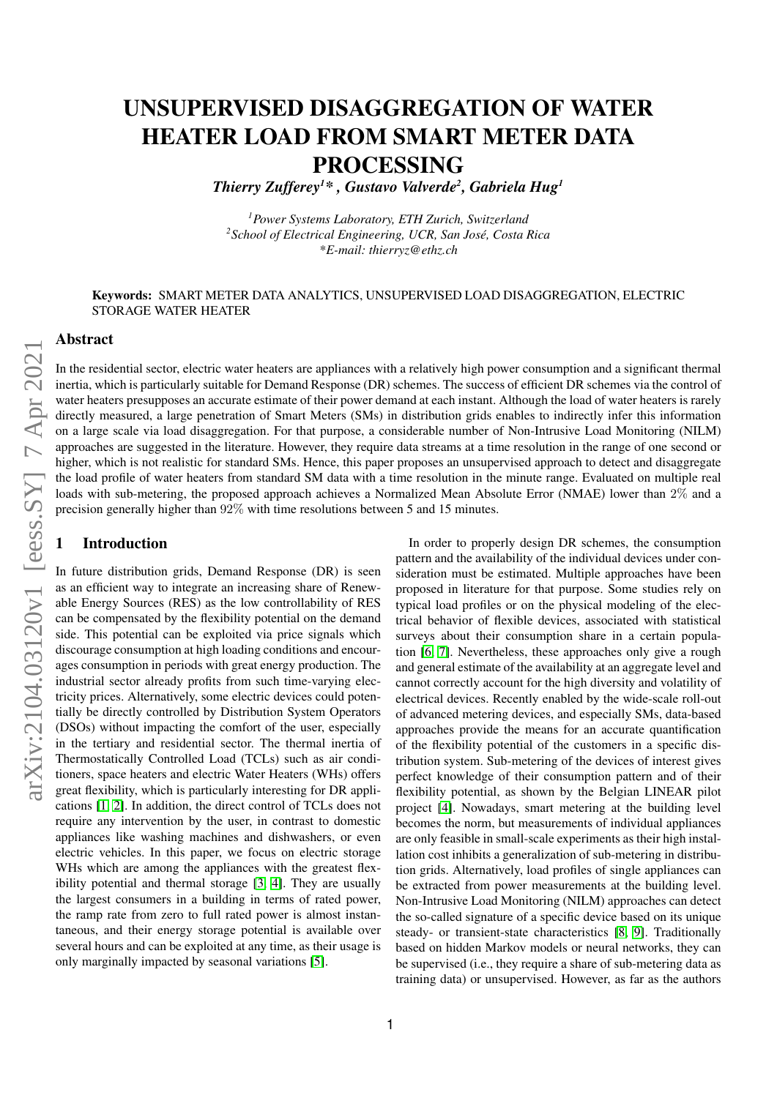# UNSUPERVISED DISAGGREGATION OF WATER HEATER LOAD FROM SMART METER DATA PROCESSING

*Thierry Zufferey<sup>1</sup>\* , Gustavo Valverde<sup>2</sup> , Gabriela Hug<sup>1</sup>*

*<sup>1</sup>Power Systems Laboratory, ETH Zurich, Switzerland <sup>2</sup>School of Electrical Engineering, UCR, San José, Costa Rica \*E-mail: thierryz@ethz.ch*

### Keywords: SMART METER DATA ANALYTICS, UNSUPERVISED LOAD DISAGGREGATION, ELECTRIC STORAGE WATER HEATER

#### Abstract

In the residential sector, electric water heaters are appliances with a relatively high power consumption and a significant thermal inertia, which is particularly suitable for Demand Response (DR) schemes. The success of efficient DR schemes via the control of water heaters presupposes an accurate estimate of their power demand at each instant. Although the load of water heaters is rarely directly measured, a large penetration of Smart Meters (SMs) in distribution grids enables to indirectly infer this information on a large scale via load disaggregation. For that purpose, a considerable number of Non-Intrusive Load Monitoring (NILM) approaches are suggested in the literature. However, they require data streams at a time resolution in the range of one second or higher, which is not realistic for standard SMs. Hence, this paper proposes an unsupervised approach to detect and disaggregate the load profile of water heaters from standard SM data with a time resolution in the minute range. Evaluated on multiple real loads with sub-metering, the proposed approach achieves a Normalized Mean Absolute Error (NMAE) lower than 2\% and a precision generally higher than 92% with time resolutions between 5 and 15 minutes.

## **Introduction**

In future distribution grids, Demand Response (DR) is seen as an efficient way to integrate an increasing share of Renewable Energy Sources (RES) as the low controllability of RES can be compensated by the flexibility potential on the demand side. This potential can be exploited via price signals which discourage consumption at high loading conditions and encourages consumption in periods with great energy production. The industrial sector already profits from such time-varying electricity prices. Alternatively, some electric devices could potentially be directly controlled by Distribution System Operators (DSOs) without impacting the comfort of the user, especially in the tertiary and residential sector. The thermal inertia of Thermostatically Controlled Load (TCLs) such as air conditioners, space heaters and electric Water Heaters (WHs) offers great flexibility, which is particularly interesting for DR applications [\[1,](#page-5-0) [2\]](#page-5-1). In addition, the direct control of TCLs does not require any intervention by the user, in contrast to domestic appliances like washing machines and dishwashers, or even electric vehicles. In this paper, we focus on electric storage WHs which are among the appliances with the greatest flexibility potential and thermal storage [\[3,](#page-5-2) [4\]](#page-5-3). They are usually the largest consumers in a building in terms of rated power, the ramp rate from zero to full rated power is almost instantaneous, and their energy storage potential is available over several hours and can be exploited at any time, as their usage is only marginally impacted by seasonal variations [\[5\]](#page-5-4).

In order to properly design DR schemes, the consumption pattern and the availability of the individual devices under consideration must be estimated. Multiple approaches have been proposed in literature for that purpose. Some studies rely on typical load profiles or on the physical modeling of the electrical behavior of flexible devices, associated with statistical surveys about their consumption share in a certain population [\[6,](#page-5-5) [7\]](#page-5-6). Nevertheless, these approaches only give a rough and general estimate of the availability at an aggregate level and cannot correctly account for the high diversity and volatility of electrical devices. Recently enabled by the wide-scale roll-out of advanced metering devices, and especially SMs, data-based approaches provide the means for an accurate quantification of the flexibility potential of the customers in a specific distribution system. Sub-metering of the devices of interest gives perfect knowledge of their consumption pattern and of their flexibility potential, as shown by the Belgian LINEAR pilot project [\[4\]](#page-5-3). Nowadays, smart metering at the building level becomes the norm, but measurements of individual appliances are only feasible in small-scale experiments as their high installation cost inhibits a generalization of sub-metering in distribution grids. Alternatively, load profiles of single appliances can be extracted from power measurements at the building level. Non-Intrusive Load Monitoring (NILM) approaches can detect the so-called signature of a specific device based on its unique steady- or transient-state characteristics [\[8,](#page-5-7) [9\]](#page-5-8). Traditionally based on hidden Markov models or neural networks, they can be supervised (i.e., they require a share of sub-metering data as training data) or unsupervised. However, as far as the authors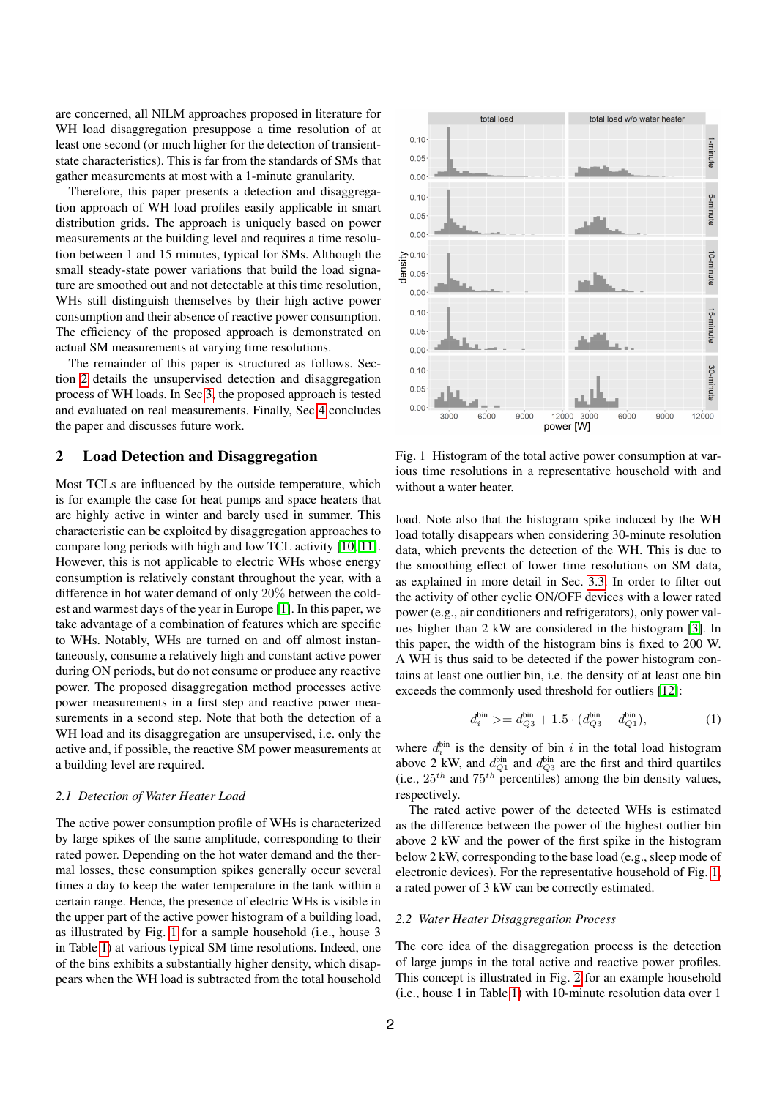are concerned, all NILM approaches proposed in literature for WH load disaggregation presuppose a time resolution of at least one second (or much higher for the detection of transientstate characteristics). This is far from the standards of SMs that gather measurements at most with a 1-minute granularity.

Therefore, this paper presents a detection and disaggregation approach of WH load profiles easily applicable in smart distribution grids. The approach is uniquely based on power measurements at the building level and requires a time resolution between 1 and 15 minutes, typical for SMs. Although the small steady-state power variations that build the load signature are smoothed out and not detectable at this time resolution, WHs still distinguish themselves by their high active power consumption and their absence of reactive power consumption. The efficiency of the proposed approach is demonstrated on actual SM measurements at varying time resolutions.

The remainder of this paper is structured as follows. Section [2](#page-1-0) details the unsupervised detection and disaggregation process of WH loads. In Sec [3,](#page-3-0) the proposed approach is tested and evaluated on real measurements. Finally, Sec [4](#page-5-9) concludes the paper and discusses future work.

## <span id="page-1-0"></span>2 Load Detection and Disaggregation

Most TCLs are influenced by the outside temperature, which is for example the case for heat pumps and space heaters that are highly active in winter and barely used in summer. This characteristic can be exploited by disaggregation approaches to compare long periods with high and low TCL activity [\[10,](#page-5-10) [11\]](#page-5-11). However, this is not applicable to electric WHs whose energy consumption is relatively constant throughout the year, with a difference in hot water demand of only 20% between the coldest and warmest days of the year in Europe [\[1\]](#page-5-0). In this paper, we take advantage of a combination of features which are specific to WHs. Notably, WHs are turned on and off almost instantaneously, consume a relatively high and constant active power during ON periods, but do not consume or produce any reactive power. The proposed disaggregation method processes active power measurements in a first step and reactive power measurements in a second step. Note that both the detection of a WH load and its disaggregation are unsupervised, i.e. only the active and, if possible, the reactive SM power measurements at a building level are required.

#### <span id="page-1-2"></span>*2.1 Detection of Water Heater Load*

The active power consumption profile of WHs is characterized by large spikes of the same amplitude, corresponding to their rated power. Depending on the hot water demand and the thermal losses, these consumption spikes generally occur several times a day to keep the water temperature in the tank within a certain range. Hence, the presence of electric WHs is visible in the upper part of the active power histogram of a building load, as illustrated by Fig. [1](#page-1-1) for a sample household (i.e., house 3 in Table [1\)](#page-3-1) at various typical SM time resolutions. Indeed, one of the bins exhibits a substantially higher density, which disappears when the WH load is subtracted from the total household



<span id="page-1-1"></span>Fig. 1 Histogram of the total active power consumption at various time resolutions in a representative household with and without a water heater.

load. Note also that the histogram spike induced by the WH load totally disappears when considering 30-minute resolution data, which prevents the detection of the WH. This is due to the smoothing effect of lower time resolutions on SM data, as explained in more detail in Sec. [3.3.](#page-3-2) In order to filter out the activity of other cyclic ON/OFF devices with a lower rated power (e.g., air conditioners and refrigerators), only power values higher than 2 kW are considered in the histogram [\[3\]](#page-5-2). In this paper, the width of the histogram bins is fixed to 200 W. A WH is thus said to be detected if the power histogram contains at least one outlier bin, i.e. the density of at least one bin exceeds the commonly used threshold for outliers [\[12\]](#page-5-12):

$$
d_i^{\text{bin}} \geq d_{Q3}^{\text{bin}} + 1.5 \cdot (d_{Q3}^{\text{bin}} - d_{Q1}^{\text{bin}}),\tag{1}
$$

where  $d_i^{\text{bin}}$  is the density of bin i in the total load histogram above 2 kW, and  $d_{Q_1}^{\text{bin}}$  and  $d_{Q_3}^{\text{bin}}$  are the first and third quartiles (i.e.,  $25^{th}$  and  $75^{th}$  percentiles) among the bin density values, respectively.

The rated active power of the detected WHs is estimated as the difference between the power of the highest outlier bin above 2 kW and the power of the first spike in the histogram below 2 kW, corresponding to the base load (e.g., sleep mode of electronic devices). For the representative household of Fig. [1,](#page-1-1) a rated power of 3 kW can be correctly estimated.

#### *2.2 Water Heater Disaggregation Process*

The core idea of the disaggregation process is the detection of large jumps in the total active and reactive power profiles. This concept is illustrated in Fig. [2](#page-2-0) for an example household (i.e., house 1 in Table [1\)](#page-3-1) with 10-minute resolution data over 1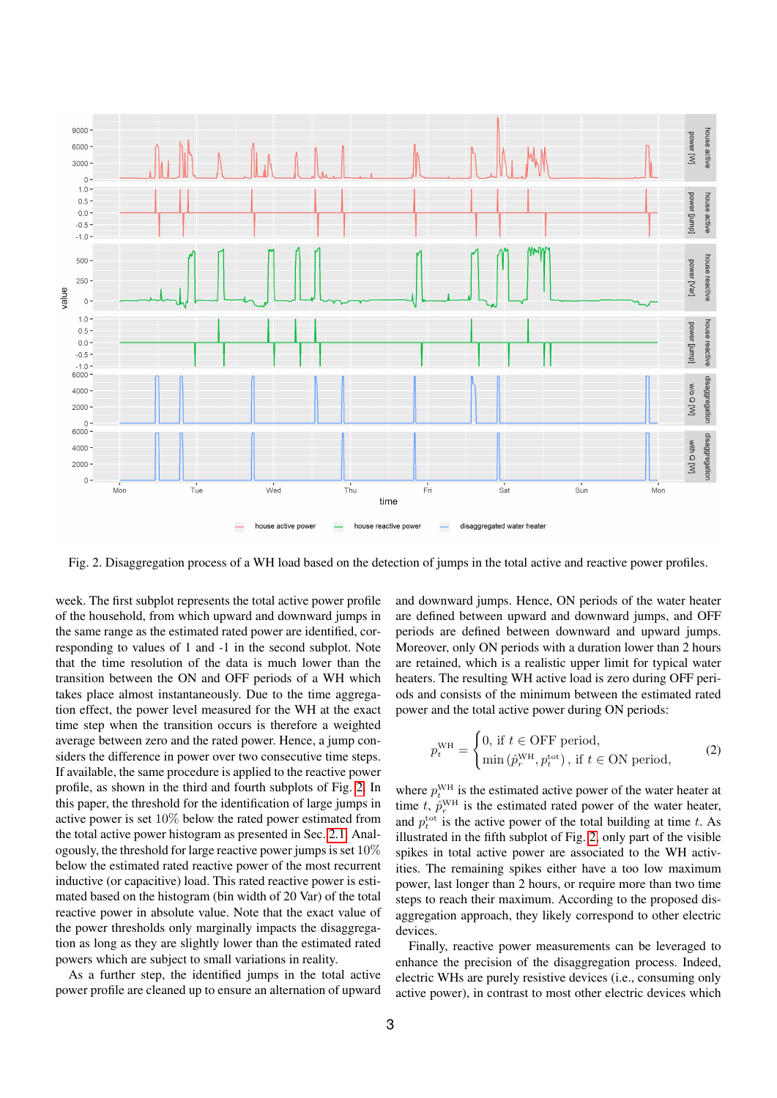

<span id="page-2-0"></span>Fig. 2. Disaggregation process of a WH load based on the detection of jumps in the total active and reactive power profiles.

week. The first subplot represents the total active power profile of the household, from which upward and downward jumps in the same range as the estimated rated power are identified, corresponding to values of 1 and -1 in the second subplot. Note that the time resolution of the data is much lower than the transition between the ON and OFF periods of a WH which takes place almost instantaneously. Due to the time aggregation effect, the power level measured for the WH at the exact time step when the transition occurs is therefore a weighted average between zero and the rated power. Hence, a jump considers the difference in power over two consecutive time steps. If available, the same procedure is applied to the reactive power profile, as shown in the third and fourth subplots of Fig. [2.](#page-2-0) In this paper, the threshold for the identification of large jumps in active power is set 10% below the rated power estimated from the total active power histogram as presented in Sec. [2.1.](#page-1-2) Analogously, the threshold for large reactive power jumps is set 10% below the estimated rated reactive power of the most recurrent inductive (or capacitive) load. This rated reactive power is estimated based on the histogram (bin width of 20 Var) of the total reactive power in absolute value. Note that the exact value of the power thresholds only marginally impacts the disaggregation as long as they are slightly lower than the estimated rated powers which are subject to small variations in reality.

As a further step, the identified jumps in the total active power profile are cleaned up to ensure an alternation of upward

and downward jumps. Hence, ON periods of the water heater are defined between upward and downward jumps, and OFF periods are defined between downward and upward jumps. Moreover, only ON periods with a duration lower than 2 hours are retained, which is a realistic upper limit for typical water heaters. The resulting WH active load is zero during OFF periods and consists of the minimum between the estimated rated power and the total active power during ON periods:

$$
p_t^{\text{WH}} = \begin{cases} 0, \text{ if } t \in \text{OFF period,} \\ \min(\hat{p}_r^{\text{WH}}, p_t^{\text{tot}}), \text{ if } t \in \text{ON period,} \end{cases}
$$
 (2)

where  $p_t^{\text{WH}}$  is the estimated active power of the water heater at time t,  $\hat{p}_r^{\text{WH}}$  is the estimated rated power of the water heater, and  $p_t^{\text{tot}}$  is the active power of the total building at time t. As illustrated in the fifth subplot of Fig. [2,](#page-2-0) only part of the visible spikes in total active power are associated to the WH activities. The remaining spikes either have a too low maximum power, last longer than 2 hours, or require more than two time steps to reach their maximum. According to the proposed disaggregation approach, they likely correspond to other electric devices.

Finally, reactive power measurements can be leveraged to enhance the precision of the disaggregation process. Indeed, electric WHs are purely resistive devices (i.e., consuming only active power), in contrast to most other electric devices which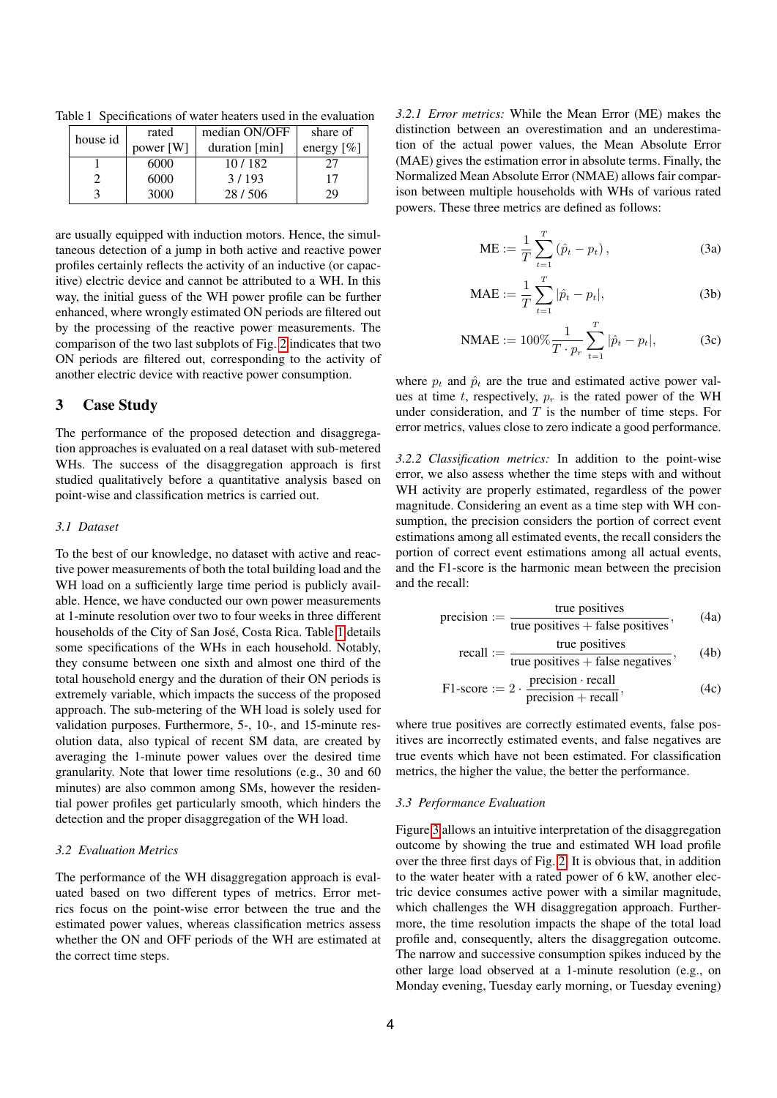<span id="page-3-1"></span>

| house id | rated     | median ON/OFF  | share of      |
|----------|-----------|----------------|---------------|
|          | power [W] | duration [min] | energy $[\%]$ |
|          | 6000      | 10/182         | 27            |
|          | 6000      | 3/193          | 17            |
|          | 3000      | 28/506         | 29            |

Table 1 Specifications of water heaters used in the evaluation

are usually equipped with induction motors. Hence, the simultaneous detection of a jump in both active and reactive power profiles certainly reflects the activity of an inductive (or capacitive) electric device and cannot be attributed to a WH. In this way, the initial guess of the WH power profile can be further enhanced, where wrongly estimated ON periods are filtered out by the processing of the reactive power measurements. The comparison of the two last subplots of Fig. [2](#page-2-0) indicates that two ON periods are filtered out, corresponding to the activity of another electric device with reactive power consumption.

#### <span id="page-3-0"></span>3 Case Study

The performance of the proposed detection and disaggregation approaches is evaluated on a real dataset with sub-metered WHs. The success of the disaggregation approach is first studied qualitatively before a quantitative analysis based on point-wise and classification metrics is carried out.

#### *3.1 Dataset*

To the best of our knowledge, no dataset with active and reactive power measurements of both the total building load and the WH load on a sufficiently large time period is publicly available. Hence, we have conducted our own power measurements at 1-minute resolution over two to four weeks in three different households of the City of San José, Costa Rica. Table [1](#page-3-1) details some specifications of the WHs in each household. Notably, they consume between one sixth and almost one third of the total household energy and the duration of their ON periods is extremely variable, which impacts the success of the proposed approach. The sub-metering of the WH load is solely used for validation purposes. Furthermore, 5-, 10-, and 15-minute resolution data, also typical of recent SM data, are created by averaging the 1-minute power values over the desired time granularity. Note that lower time resolutions (e.g., 30 and 60 minutes) are also common among SMs, however the residential power profiles get particularly smooth, which hinders the detection and the proper disaggregation of the WH load.

## *3.2 Evaluation Metrics*

The performance of the WH disaggregation approach is evaluated based on two different types of metrics. Error metrics focus on the point-wise error between the true and the estimated power values, whereas classification metrics assess whether the ON and OFF periods of the WH are estimated at the correct time steps.

*3.2.1 Error metrics:* While the Mean Error (ME) makes the distinction between an overestimation and an underestimation of the actual power values, the Mean Absolute Error (MAE) gives the estimation error in absolute terms. Finally, the Normalized Mean Absolute Error (NMAE) allows fair comparison between multiple households with WHs of various rated powers. These three metrics are defined as follows:

ME := 
$$
\frac{1}{T} \sum_{t=1}^{T} (\hat{p}_t - p_t)
$$
, (3a)

$$
\text{MAE} := \frac{1}{T} \sum_{t=1}^{T} |\hat{p}_t - p_t|,\tag{3b}
$$

$$
\text{NMAE} := 100\% \frac{1}{T \cdot p_r} \sum_{t=1}^{T} |\hat{p}_t - p_t|,\tag{3c}
$$

where  $p_t$  and  $\hat{p}_t$  are the true and estimated active power values at time t, respectively,  $p_r$  is the rated power of the WH under consideration, and  $T$  is the number of time steps. For error metrics, values close to zero indicate a good performance.

*3.2.2 Classification metrics:* In addition to the point-wise error, we also assess whether the time steps with and without WH activity are properly estimated, regardless of the power magnitude. Considering an event as a time step with WH consumption, the precision considers the portion of correct event estimations among all estimated events, the recall considers the portion of correct event estimations among all actual events, and the F1-score is the harmonic mean between the precision and the recall:

precision := 
$$
\frac{\text{true positives}}{\text{true positives} + \text{false positives}}
$$
, (4a)

recall := 
$$
\frac{\text{true positives}}{\text{true positives} + \text{false negatives}}
$$
, (4b)

$$
F1-score := 2 \cdot \frac{precision \cdot recall}{precision + recall},
$$
\n(4c)

where true positives are correctly estimated events, false positives are incorrectly estimated events, and false negatives are true events which have not been estimated. For classification metrics, the higher the value, the better the performance.

#### <span id="page-3-2"></span>*3.3 Performance Evaluation*

Figure [3](#page-4-0) allows an intuitive interpretation of the disaggregation outcome by showing the true and estimated WH load profile over the three first days of Fig. [2.](#page-2-0) It is obvious that, in addition to the water heater with a rated power of 6 kW, another electric device consumes active power with a similar magnitude, which challenges the WH disaggregation approach. Furthermore, the time resolution impacts the shape of the total load profile and, consequently, alters the disaggregation outcome. The narrow and successive consumption spikes induced by the other large load observed at a 1-minute resolution (e.g., on Monday evening, Tuesday early morning, or Tuesday evening)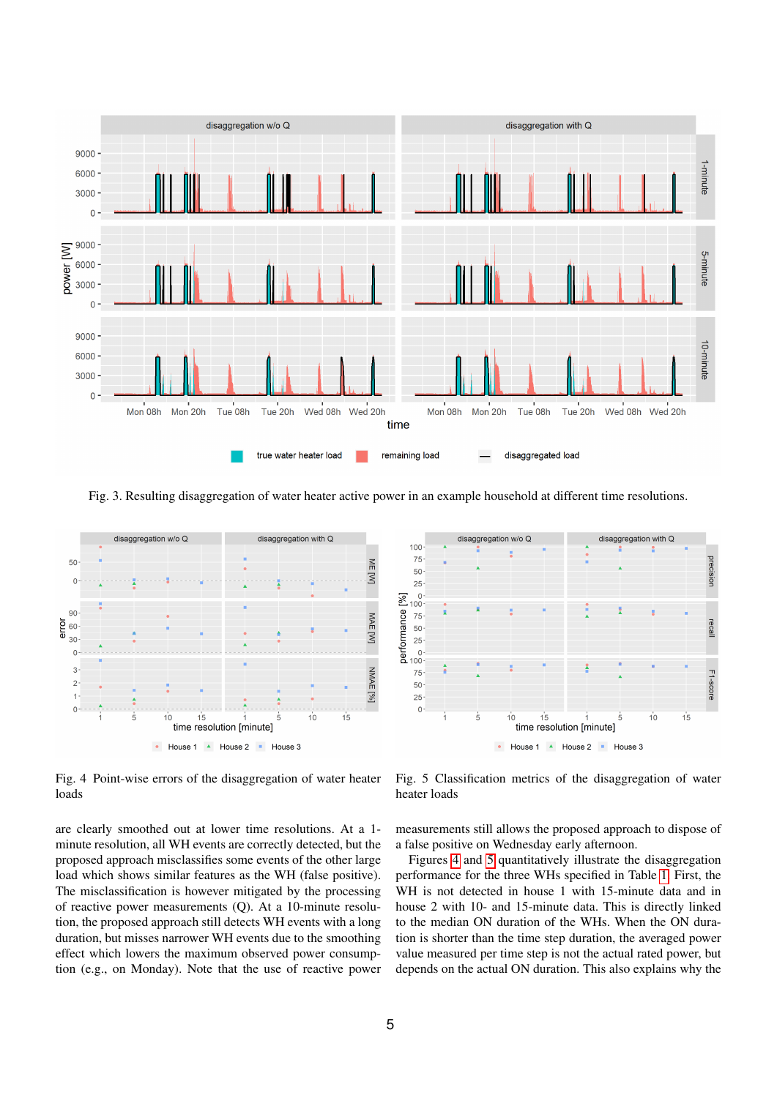

<span id="page-4-0"></span>Fig. 3. Resulting disaggregation of water heater active power in an example household at different time resolutions.



disaggregation with Q aggregation w/o C  $100$ 75 precision 50 25 performance  $\begin{bmatrix} 96 \\ 100 \\ 0 \\ 0 \\ 0 \\ 0 \end{bmatrix}$ recal 75 F1-score 50 25  $\overline{0}$ ś  $10$  $15$  $10$ 15 time resolution [minute] • House 1 A House 2 = House 3

<span id="page-4-1"></span>Fig. 4 Point-wise errors of the disaggregation of water heater loads

are clearly smoothed out at lower time resolutions. At a 1 minute resolution, all WH events are correctly detected, but the proposed approach misclassifies some events of the other large load which shows similar features as the WH (false positive). The misclassification is however mitigated by the processing of reactive power measurements (Q). At a 10-minute resolution, the proposed approach still detects WH events with a long duration, but misses narrower WH events due to the smoothing effect which lowers the maximum observed power consumption (e.g., on Monday). Note that the use of reactive power

<span id="page-4-2"></span>Fig. 5 Classification metrics of the disaggregation of water heater loads

measurements still allows the proposed approach to dispose of a false positive on Wednesday early afternoon.

Figures [4](#page-4-1) and [5](#page-4-2) quantitatively illustrate the disaggregation performance for the three WHs specified in Table [1.](#page-3-1) First, the WH is not detected in house 1 with 15-minute data and in house 2 with 10- and 15-minute data. This is directly linked to the median ON duration of the WHs. When the ON duration is shorter than the time step duration, the averaged power value measured per time step is not the actual rated power, but depends on the actual ON duration. This also explains why the